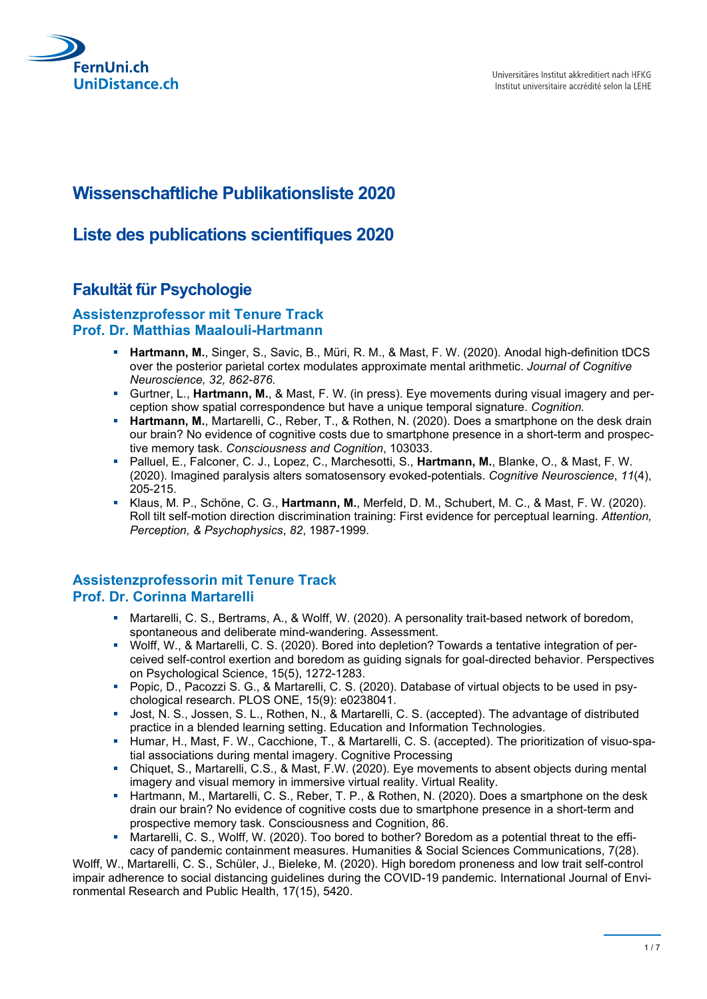

# **Wissenschaftliche Publikationsliste 2020**

# **Liste des publications scientifiques 2020**

## **Fakultät für Psychologie**

#### **Assistenzprofessor mit Tenure Track Prof. Dr. Matthias Maalouli-Hartmann**

- **Hartmann, M.**, Singer, S., Savic, B., Müri, R. M., & Mast, F. W. (2020). Anodal high-definition tDCS over the posterior parietal cortex modulates approximate mental arithmetic. *Journal of Cognitive Neuroscience, 32, 862-876.*
- Gurtner, L., **Hartmann, M.**, & Mast, F. W. (in press). Eye movements during visual imagery and perception show spatial correspondence but have a unique temporal signature. *Cognition.*
- **Hartmann, M.**, Martarelli, C., Reber, T., & Rothen, N. (2020). Does a smartphone on the desk drain our brain? No evidence of cognitive costs due to smartphone presence in a short-term and prospective memory task. *Consciousness and Cognition*, 103033.
- Palluel, E., Falconer, C. J., Lopez, C., Marchesotti, S., **Hartmann, M.**, Blanke, O., & Mast, F. W. (2020). Imagined paralysis alters somatosensory evoked-potentials. *Cognitive Neuroscience*, *11*(4), 205-215.
- Klaus, M. P., Schöne, C. G., **Hartmann, M.**, Merfeld, D. M., Schubert, M. C., & Mast, F. W. (2020). Roll tilt self-motion direction discrimination training: First evidence for perceptual learning. *Attention, Perception, & Psychophysics*, *82*, 1987-1999.

#### **Assistenzprofessorin mit Tenure Track Prof. Dr. Corinna Martarelli**

- Martarelli, C. S., Bertrams, A., & Wolff, W. (2020). A personality trait-based network of boredom, spontaneous and deliberate mind-wandering. Assessment.
- Wolff, W., & Martarelli, C. S. (2020). Bored into depletion? Towards a tentative integration of perceived self-control exertion and boredom as guiding signals for goal-directed behavior. Perspectives on Psychological Science, 15(5), 1272-1283.
- Popic, D., Pacozzi S. G., & Martarelli, C. S. (2020). Database of virtual objects to be used in psychological research. PLOS ONE, 15(9): e0238041.
- Jost, N. S., Jossen, S. L., Rothen, N., & Martarelli, C. S. (accepted). The advantage of distributed practice in a blended learning setting. Education and Information Technologies.
- Humar, H., Mast, F. W., Cacchione, T., & Martarelli, C. S. (accepted). The prioritization of visuo-spatial associations during mental imagery. Cognitive Processing
- Chiquet, S., Martarelli, C.S., & Mast, F.W. (2020). Eye movements to absent objects during mental imagery and visual memory in immersive virtual reality. Virtual Reality.
- **Hartmann, M., Martarelli, C. S., Reber, T. P., & Rothen, N. (2020). Does a smartphone on the desk** drain our brain? No evidence of cognitive costs due to smartphone presence in a short-term and prospective memory task. Consciousness and Cognition, 86.
- Martarelli, C. S., Wolff, W. (2020). Too bored to bother? Boredom as a potential threat to the efficacy of pandemic containment measures. Humanities & Social Sciences Communications, 7(28).

Wolff, W., Martarelli, C. S., Schüler, J., Bieleke, M. (2020). High boredom proneness and low trait self-control impair adherence to social distancing guidelines during the COVID-19 pandemic. International Journal of Environmental Research and Public Health, 17(15), 5420.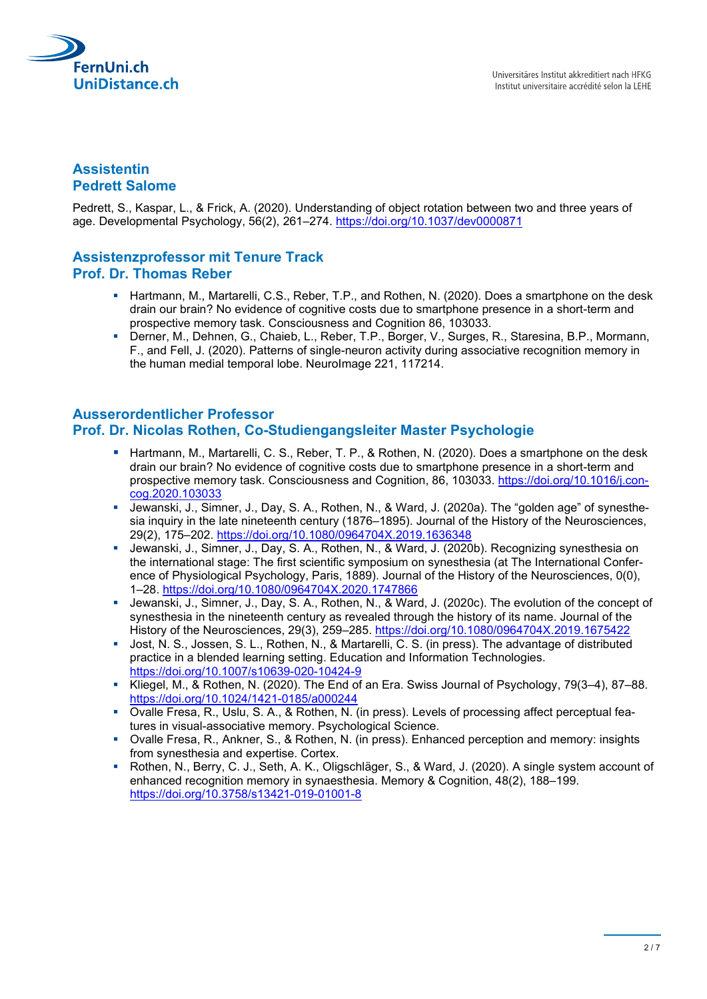

## **Assistentin Pedrett Salome**

Pedrett, S., Kaspar, L., & Frick, A. (2020). Understanding of object rotation between two and three years of age. Developmental Psychology, 56(2), 261–274. https://doi.org/10.1037/dev0000871

## **Assistenzprofessor mit Tenure Track Prof. Dr. Thomas Reber**

- **Hartmann, M., Martarelli, C.S., Reber, T.P., and Rothen, N. (2020). Does a smartphone on the desk** drain our brain? No evidence of cognitive costs due to smartphone presence in a short-term and prospective memory task. Consciousness and Cognition 86, 103033.
- Derner, M., Dehnen, G., Chaieb, L., Reber, T.P., Borger, V., Surges, R., Staresina, B.P., Mormann, F., and Fell, J. (2020). Patterns of single-neuron activity during associative recognition memory in the human medial temporal lobe. NeuroImage 221, 117214.

#### **Ausserordentlicher Professor Prof. Dr. Nicolas Rothen, Co-Studiengangsleiter Master Psychologie**

- Hartmann, M., Martarelli, C. S., Reber, T. P., & Rothen, N. (2020). Does a smartphone on the desk drain our brain? No evidence of cognitive costs due to smartphone presence in a short-term and prospective memory task. Consciousness and Cognition, 86, 103033. [https://doi.org/10.1016/j.con](https://doi.org/10.1016/j.concog.2020.103033)[cog.2020.103033](https://doi.org/10.1016/j.concog.2020.103033)
- Uewanski, J., Simner, J., Day, S. A., Rothen, N., & Ward, J. (2020a). The "golden age" of synesthesia inquiry in the late nineteenth century (1876–1895). Journal of the History of the Neurosciences, 29(2), 175–202.<https://doi.org/10.1080/0964704X.2019.1636348>
- Jewanski, J., Simner, J., Day, S. A., Rothen, N., & Ward, J. (2020b). Recognizing synesthesia on the international stage: The first scientific symposium on synesthesia (at The International Conference of Physiological Psychology, Paris, 1889). Journal of the History of the Neurosciences, 0(0), 1–28.<https://doi.org/10.1080/0964704X.2020.1747866>
- Jewanski, J., Simner, J., Day, S. A., Rothen, N., & Ward, J. (2020c). The evolution of the concept of synesthesia in the nineteenth century as revealed through the history of its name. Journal of the History of the Neurosciences, 29(3), 259–285.<https://doi.org/10.1080/0964704X.2019.1675422>
- Jost, N. S., Jossen, S. L., Rothen, N., & Martarelli, C. S. (in press). The advantage of distributed practice in a blended learning setting. Education and Information Technologies. <https://doi.org/10.1007/s10639-020-10424-9>
- Kliegel, M., & Rothen, N. (2020). The End of an Era. Swiss Journal of Psychology, 79(3–4), 87–88. <https://doi.org/10.1024/1421-0185/a000244>
- Ovalle Fresa, R., Uslu, S. A., & Rothen, N. (in press). Levels of processing affect perceptual features in visual-associative memory. Psychological Science.
- Ovalle Fresa, R., Ankner, S., & Rothen, N. (in press). Enhanced perception and memory: insights from synesthesia and expertise. Cortex.
- Rothen, N., Berry, C. J., Seth, A. K., Oligschläger, S., & Ward, J. (2020). A single system account of enhanced recognition memory in synaesthesia. Memory & Cognition, 48(2), 188–199. <https://doi.org/10.3758/s13421-019-01001-8>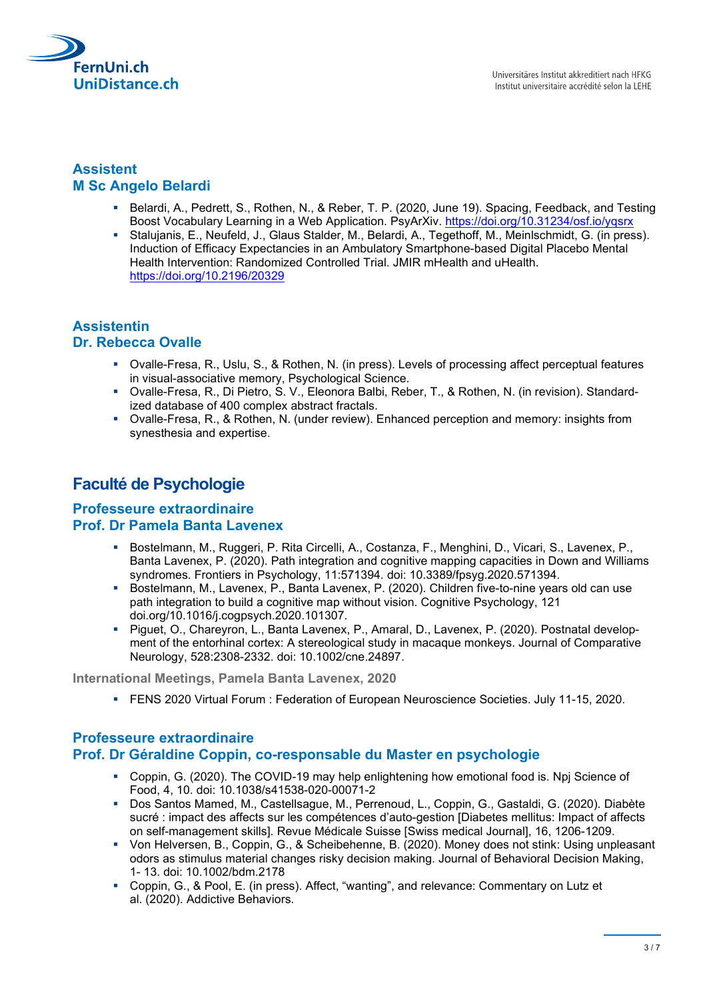

## **Assistent M Sc Angelo Belardi**

- Belardi, A., Pedrett, S., Rothen, N., & Reber, T. P. (2020, June 19). Spacing, Feedback, and Testing Boost Vocabulary Learning in a Web Application. PsyArXiv. https://doi.org/10.31234/osf.io/yqsrx
- Stalujanis, E., Neufeld, J., Glaus Stalder, M., Belardi, A., Tegethoff, M., Meinlschmidt, G. (in press). Induction of Efficacy Expectancies in an Ambulatory Smartphone-based Digital Placebo Mental Health Intervention: Randomized Controlled Trial. JMIR mHealth and uHealth. https://doi.org/10.2196/20329

#### **Assistentin Dr. Rebecca Ovalle**

- Ovalle-Fresa, R., Uslu, S., & Rothen, N. (in press). Levels of processing affect perceptual features in visual-associative memory, Psychological Science.
- Ovalle-Fresa, R., Di Pietro, S. V., Eleonora Balbi, Reber, T., & Rothen, N. (in revision). Standardized database of 400 complex abstract fractals.
- Ovalle-Fresa, R., & Rothen, N. (under review). Enhanced perception and memory: insights from synesthesia and expertise.

# **Faculté de Psychologie**

#### **Professeure extraordinaire Prof. Dr Pamela Banta Lavenex**

- Bostelmann, M., Ruggeri, P. Rita Circelli, A., Costanza, F., Menghini, D., Vicari, S., Lavenex, P., Banta Lavenex, P. (2020). Path integration and cognitive mapping capacities in Down and Williams syndromes. Frontiers in Psychology, 11:571394. doi: 10.3389/fpsyg.2020.571394.
- Bostelmann, M., Lavenex, P., Banta Lavenex, P. (2020). Children five-to-nine years old can use path integration to build a cognitive map without vision. Cognitive Psychology, 121 doi.org/10.1016/j.cogpsych.2020.101307.
- Piguet, O., Chareyron, L., Banta Lavenex, P., Amaral, D., Lavenex, P. (2020). Postnatal development of the entorhinal cortex: A stereological study in macaque monkeys. Journal of Comparative Neurology, 528:2308-2332. doi: 10.1002/cne.24897.

**International Meetings, Pamela Banta Lavenex, 2020**

FENS 2020 Virtual Forum : Federation of European Neuroscience Societies. July 11-15, 2020.

## **Professeure extraordinaire**

## **Prof. Dr Géraldine Coppin, co-responsable du Master en psychologie**

- Coppin, G. (2020). The COVID-19 may help enlightening how emotional food is. Npj Science of Food, 4, 10. doi: 10.1038/s41538-020-00071-2
- Dos Santos Mamed, M., Castellsague, M., Perrenoud, L., Coppin, G., Gastaldi, G. (2020). Diabète sucré : impact des affects sur les compétences d'auto-gestion [Diabetes mellitus: Impact of affects on self-management skills]. Revue Médicale Suisse [Swiss medical Journal], 16, 1206-1209.
- Von Helversen, B., Coppin, G., & Scheibehenne, B. (2020). Money does not stink: Using unpleasant odors as stimulus material changes risky decision making. Journal of Behavioral Decision Making, 1- 13. doi: 10.1002/bdm.2178
- Coppin, G., & Pool, E. (in press). Affect, "wanting", and relevance: Commentary on Lutz et al. (2020). Addictive Behaviors.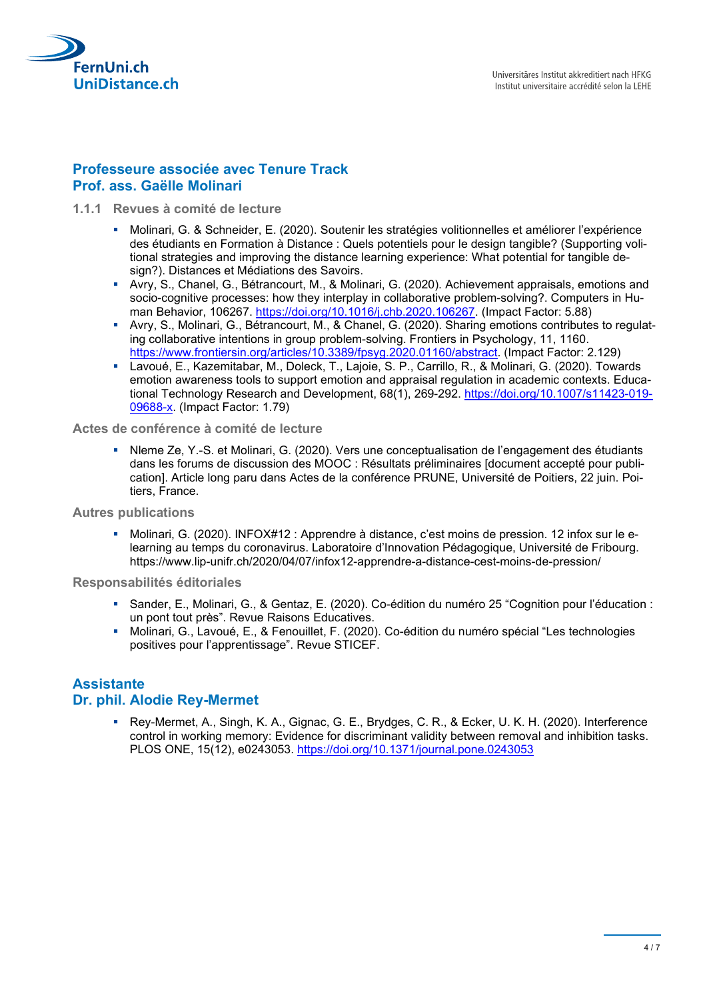

#### **Professeure associée avec Tenure Track Prof. ass. Gaëlle Molinari**

- **1.1.1 Revues à comité de lecture**
	- Molinari, G. & Schneider, E. (2020). Soutenir les stratégies volitionnelles et améliorer l'expérience des étudiants en Formation à Distance : Quels potentiels pour le design tangible? (Supporting volitional strategies and improving the distance learning experience: What potential for tangible design?). Distances et Médiations des Savoirs.
	- Avry, S., Chanel, G., Bétrancourt, M., & Molinari, G. (2020). Achievement appraisals, emotions and socio-cognitive processes: how they interplay in collaborative problem-solving?. Computers in Human Behavior, 106267. [https://doi.org/10.1016/j.chb.2020.106267.](https://doi.org/10.1016/j.chb.2020.106267) (Impact Factor: 5.88)
	- Avry, S., Molinari, G., Bétrancourt, M., & Chanel, G. (2020). Sharing emotions contributes to regulating collaborative intentions in group problem-solving. Frontiers in Psychology, 11, 1160. [https://www.frontiersin.org/articles/10.3389/fpsyg.2020.01160/abstract.](https://www.frontiersin.org/articles/10.3389/fpsyg.2020.01160/abstract) (Impact Factor: 2.129)
	- Lavoué, E., Kazemitabar, M., Doleck, T., Lajoie, S. P., Carrillo, R., & Molinari, G. (2020). Towards emotion awareness tools to support emotion and appraisal regulation in academic contexts. Educational Technology Research and Development, 68(1), 269-292. [https://doi.org/10.1007/s11423-019-](https://doi.org/10.1007/s11423-019-09688-x) [09688-x.](https://doi.org/10.1007/s11423-019-09688-x) (Impact Factor: 1.79)

**Actes de conférence à comité de lecture**

 Nleme Ze, Y.-S. et Molinari, G. (2020). Vers une conceptualisation de l'engagement des étudiants dans les forums de discussion des MOOC : Résultats préliminaires [document accepté pour publication]. Article long paru dans Actes de la conférence PRUNE, Université de Poitiers, 22 juin. Poitiers, France.

**Autres publications**

 Molinari, G. (2020). INFOX#12 : Apprendre à distance, c'est moins de pression. 12 infox sur le elearning au temps du coronavirus. Laboratoire d'Innovation Pédagogique, Université de Fribourg. <https://www.lip-unifr.ch/2020/04/07/infox12-apprendre-a-distance-cest-moins-de-pression/>

**Responsabilités éditoriales**

- Sander, E., Molinari, G., & Gentaz, E. (2020). Co-édition du numéro 25 "Cognition pour l'éducation : un pont tout près". Revue Raisons Educatives.
- Molinari, G., Lavoué, E., & Fenouillet, F. (2020). Co-édition du numéro spécial "Les technologies positives pour l'apprentissage". Revue STICEF.

#### **Assistante**

#### **Dr. phil. Alodie Rey-Mermet**

 Rey-Mermet, A., Singh, K. A., Gignac, G. E., Brydges, C. R., & Ecker, U. K. H. (2020). Interference control in working memory: Evidence for discriminant validity between removal and inhibition tasks. PLOS ONE, 15(12), e0243053.<https://doi.org/10.1371/journal.pone.0243053>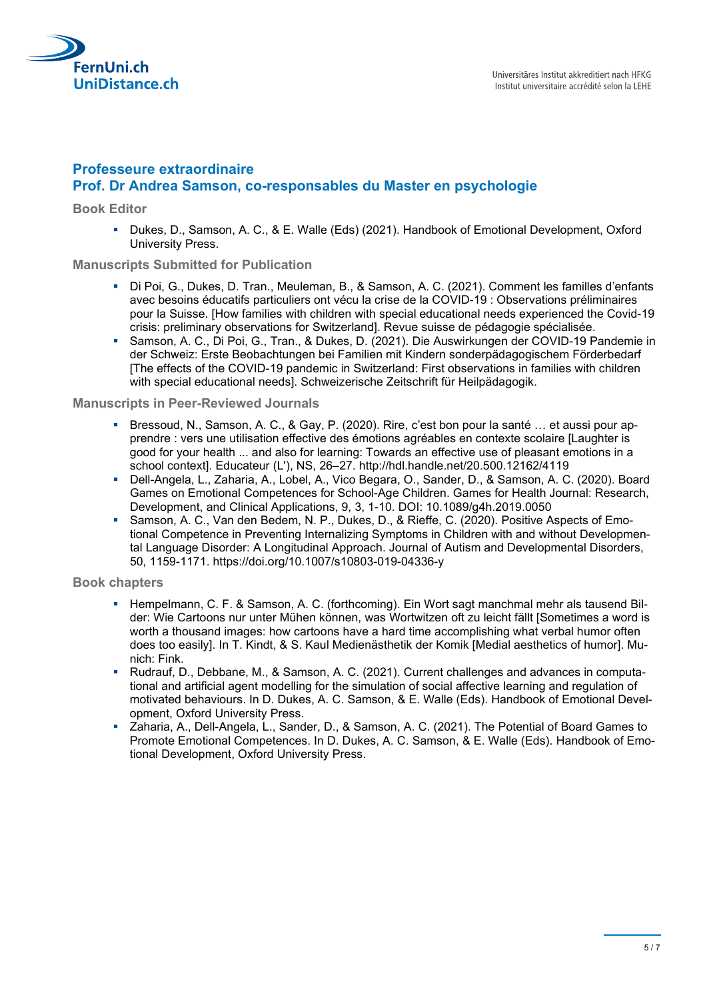

#### **Professeure extraordinaire Prof. Dr Andrea Samson, co-responsables du Master en psychologie**

**Book Editor**

Dukes, D., Samson, A. C., & E. Walle (Eds) (2021). Handbook of Emotional Development, Oxford University Press.

#### **Manuscripts Submitted for Publication**

- Di Poi, G., Dukes, D. Tran., Meuleman, B., & Samson, A. C. (2021). Comment les familles d'enfants avec besoins éducatifs particuliers ont vécu la crise de la COVID-19 : Observations préliminaires pour la Suisse. [How families with children with special educational needs experienced the Covid-19 crisis: preliminary observations for Switzerland]. Revue suisse de pédagogie spécialisée.
- Samson, A. C., Di Poi, G., Tran., & Dukes, D. (2021). Die Auswirkungen der COVID-19 Pandemie in der Schweiz: Erste Beobachtungen bei Familien mit Kindern sonderpädagogischem Förderbedarf [The effects of the COVID-19 pandemic in Switzerland: First observations in families with children with special educational needs]. Schweizerische Zeitschrift für Heilpädagogik.

#### **Manuscripts in Peer-Reviewed Journals**

- Bressoud, N., Samson, A. C., & Gay, P. (2020). Rire, c'est bon pour la santé … et aussi pour apprendre : vers une utilisation effective des émotions agréables en contexte scolaire [Laughter is good for your health ... and also for learning: Towards an effective use of pleasant emotions in a school context]. Educateur (L'), NS, 26–27.<http://hdl.handle.net/20.500.12162/4119>
- Dell-Angela, L., Zaharia, A., Lobel, A., Vico Begara, O., Sander, D., & Samson, A. C. (2020). Board Games on Emotional Competences for School-Age Children. Games for Health Journal: Research, Development, and Clinical Applications, 9, 3, 1-10. DOI: 10.1089/g4h.2019.0050
- Samson, A. C., Van den Bedem, N. P., Dukes, D., & Rieffe, C. (2020). Positive Aspects of Emotional Competence in Preventing Internalizing Symptoms in Children with and without Developmental Language Disorder: A Longitudinal Approach. Journal of Autism and Developmental Disorders, 50, 1159-1171. https://doi.org/10.1007/s10803-019-04336-y

#### **Book chapters**

- **Hempelmann, C. F. & Samson, A. C. (forthcoming). Ein Wort sagt manchmal mehr als tausend Bil**der: Wie Cartoons nur unter Mühen können, was Wortwitzen oft zu leicht fällt [Sometimes a word is worth a thousand images: how cartoons have a hard time accomplishing what verbal humor often does too easily]. In T. Kindt, & S. Kaul Medienästhetik der Komik [Medial aesthetics of humor]. Munich: Fink.
- Rudrauf, D., Debbane, M., & Samson, A. C. (2021). Current challenges and advances in computational and artificial agent modelling for the simulation of social affective learning and regulation of motivated behaviours. In D. Dukes, A. C. Samson, & E. Walle (Eds). Handbook of Emotional Development, Oxford University Press.
- Zaharia, A., Dell-Angela, L., Sander, D., & Samson, A. C. (2021). The Potential of Board Games to Promote Emotional Competences. In D. Dukes, A. C. Samson, & E. Walle (Eds). Handbook of Emotional Development, Oxford University Press.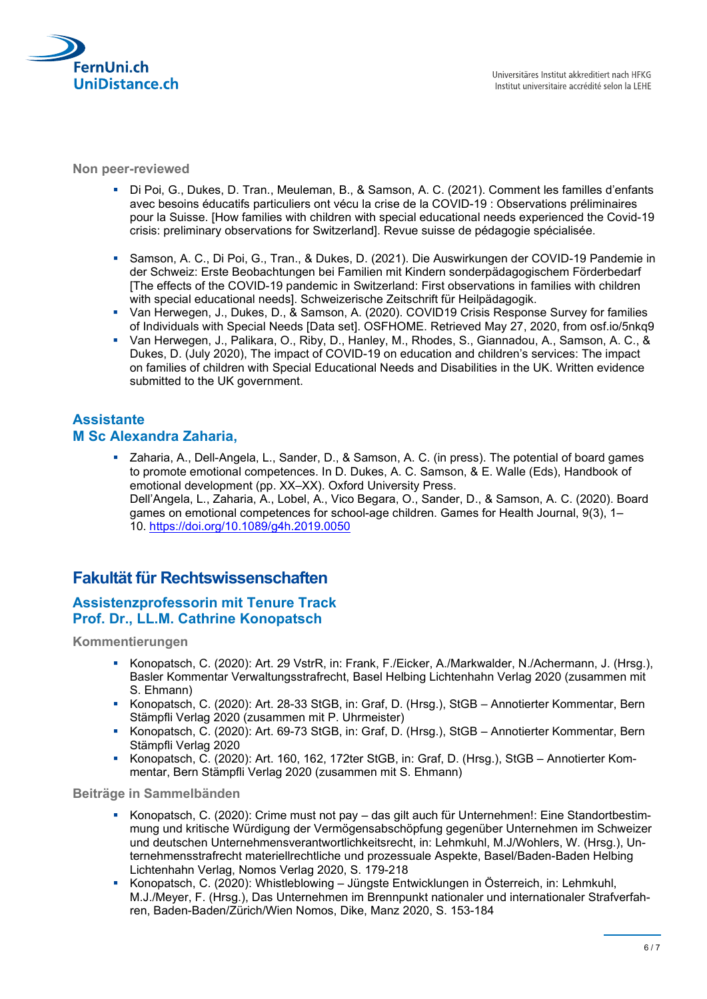

**Non peer-reviewed**

- Di Poi, G., Dukes, D. Tran., Meuleman, B., & Samson, A. C. (2021). Comment les familles d'enfants avec besoins éducatifs particuliers ont vécu la crise de la COVID-19 : Observations préliminaires pour la Suisse. [How families with children with special educational needs experienced the Covid-19 crisis: preliminary observations for Switzerland]. Revue suisse de pédagogie spécialisée.
- Samson, A. C., Di Poi, G., Tran., & Dukes, D. (2021). Die Auswirkungen der COVID-19 Pandemie in der Schweiz: Erste Beobachtungen bei Familien mit Kindern sonderpädagogischem Förderbedarf [The effects of the COVID-19 pandemic in Switzerland: First observations in families with children with special educational needs]. Schweizerische Zeitschrift für Heilpädagogik.
- Van Herwegen, J., Dukes, D., & Samson, A. (2020). COVID19 Crisis Response Survey for families of Individuals with Special Needs [Data set]. OSFHOME. Retrieved May 27, 2020, from osf.io/5nkq9
- Van Herwegen, J., Palikara, O., Riby, D., Hanley, M., Rhodes, S., Giannadou, A., Samson, A. C., & Dukes, D. (July 2020), The impact of COVID-19 on education and children's services: The impact on families of children with Special Educational Needs and Disabilities in the UK. Written evidence submitted to the UK government.

## **Assistante M Sc Alexandra Zaharia,**

 Zaharia, A., Dell-Angela, L., Sander, D., & Samson, A. C. (in press). The potential of board games to promote emotional competences. In D. Dukes, A. C. Samson, & E. Walle (Eds), Handbook of emotional development (pp. XX–XX). Oxford University Press. Dell'Angela, L., Zaharia, A., Lobel, A., Vico Begara, O., Sander, D., & Samson, A. C. (2020). Board games on emotional competences for school-age children. Games for Health Journal, 9(3), 1– 10. [https://doi.org/1](https://eur03.safelinks.protection.outlook.com/?url=https%3A%2F%2Fdoi.org%2F&data=04%7C01%7Cadmin%40unidistance.ch%7Cf9262e27ac2c4bbaa77108d8c450e88f%7Ca1da2a2d72714e87aa88fc6cf183882f%7C0%7C0%7C637475200098014839%7CUnknown%7CTWFpbGZsb3d8eyJWIjoiMC4wLjAwMDAiLCJQIjoiV2luMzIiLCJBTiI6Ik1haWwiLCJXVCI6Mn0%3D%7C1000&sdata=ITAfS0JaVgCczYIx0N1kDkx7Ar9%2FvVd63negjVgq0qQ%3D&reserved=0)0.1089/g4h.2019.0050

# **Fakultät für Rechtswissenschaften**

#### **Assistenzprofessorin mit Tenure Track Prof. Dr., LL.M. Cathrine Konopatsch**

**Kommentierungen**

- Konopatsch, C. (2020): Art. 29 VstrR, in: Frank, F./Eicker, A./Markwalder, N./Achermann, J. (Hrsg.), Basler Kommentar Verwaltungsstrafrecht, Basel Helbing Lichtenhahn Verlag 2020 (zusammen mit S. Ehmann)
- Konopatsch, C. (2020): Art. 28-33 StGB, in: Graf, D. (Hrsg.), StGB Annotierter Kommentar, Bern Stämpfli Verlag 2020 (zusammen mit P. Uhrmeister)
- Konopatsch, C. (2020): Art. 69-73 StGB, in: Graf, D. (Hrsg.), StGB Annotierter Kommentar, Bern Stämpfli Verlag 2020
- Konopatsch, C. (2020): Art. 160, 162, 172ter StGB, in: Graf, D. (Hrsg.), StGB Annotierter Kommentar, Bern Stämpfli Verlag 2020 (zusammen mit S. Ehmann)

#### **Beiträge in Sammelbänden**

- Konopatsch, C. (2020): Crime must not pay das gilt auch für Unternehmen!: Eine Standortbestimmung und kritische Würdigung der Vermögensabschöpfung gegenüber Unternehmen im Schweizer und deutschen Unternehmensverantwortlichkeitsrecht, in: Lehmkuhl, M.J/Wohlers, W. (Hrsg.), Unternehmensstrafrecht materiellrechtliche und prozessuale Aspekte, Basel/Baden-Baden Helbing Lichtenhahn Verlag, Nomos Verlag 2020, S. 179-218
- Konopatsch, C. (2020): Whistleblowing Jüngste Entwicklungen in Österreich, in: Lehmkuhl, M.J./Meyer, F. (Hrsg.), Das Unternehmen im Brennpunkt nationaler und internationaler Strafverfahren, Baden-Baden/Zürich/Wien Nomos, Dike, Manz 2020, S. 153-184